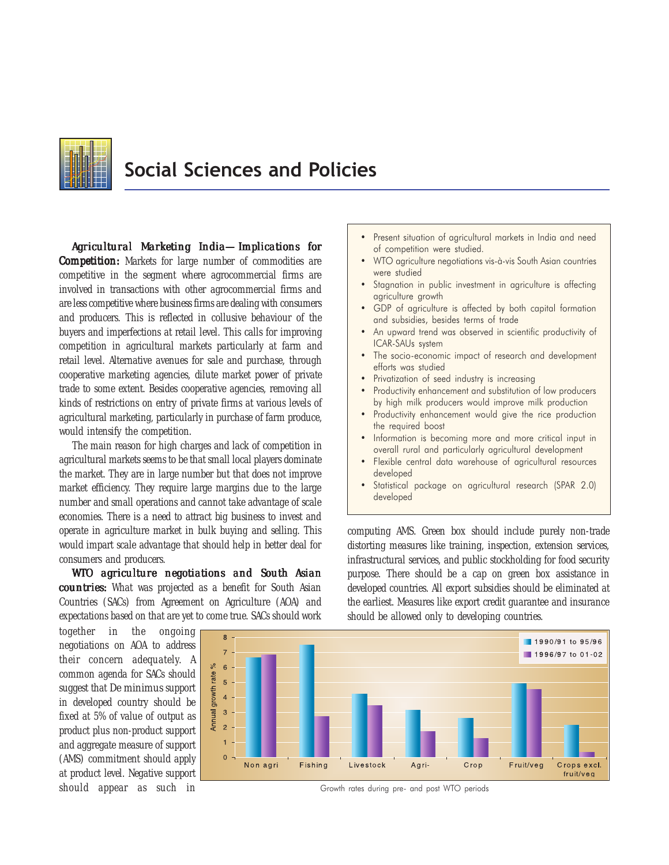

# Social Sciences and Policies

*Agricultural Marketing India—Implications for Competition:* Markets for large number of commodities are competitive in the segment where agrocommercial firms are involved in transactions with other agrocommercial firms and are less competitive where business firms are dealing with consumers and producers. This is reflected in collusive behaviour of the buyers and imperfections at retail level. This calls for improving competition in agricultural markets particularly at farm and retail level. Alternative avenues for sale and purchase, through cooperative marketing agencies, dilute market power of private trade to some extent. Besides cooperative agencies, removing all kinds of restrictions on entry of private firms at various levels of agricultural marketing, particularly in purchase of farm produce, would intensify the competition.

The main reason for high charges and lack of competition in agricultural markets seems to be that small local players dominate the market. They are in large number but that does not improve market efficiency. They require large margins due to the large number and small operations and cannot take advantage of scale economies. There is a need to attract big business to invest and operate in agriculture market in bulk buying and selling. This would impart scale advantage that should help in better deal for consumers and producers.

*WTO agriculture negotiations and South Asian countries: countries:* What was projected as a benefit for South Asian Countries (SACs) from Agreement on Agriculture (AOA) and expectations based on that are yet to come true. SACs should work

together in the ongoing negotiations on AOA to address their concern adequately. A common agenda for SACs should suggest that *De minimus* support in developed country should be fixed at 5% of value of output as product plus non-product support and aggregate measure of support (AMS) commitment should apply at product level. Negative support should appear as such in Theorem Growth rates during pre- and post WTO periods



- WTO agriculture negotiations vis-à-vis South Asian countries were studied
- Stagnation in public investment in agriculture is affecting agriculture growth
- GDP of agriculture is affected by both capital formation and subsidies, besides terms of trade
- An upward trend was observed in scientific productivity of ICAR-SAUs system
- The socio-economic impact of research and development efforts was studied
- Privatization of seed industry is increasing
- Productivity enhancement and substitution of low producers by high milk producers would improve milk production
- Productivity enhancement would give the rice production the required boost
- Information is becoming more and more critical input in overall rural and particularly agricultural development
- Flexible central data warehouse of agricultural resources developed
- Statistical package on agricultural research (SPAR 2.0) developed

computing AMS. Green box should include purely non-trade distorting measures like training, inspection, extension services, infrastructural services, and public stockholding for food security purpose. There should be a cap on green box assistance in developed countries. All export subsidies should be eliminated at the earliest. Measures like export credit guarantee and insurance should be allowed only to developing countries.

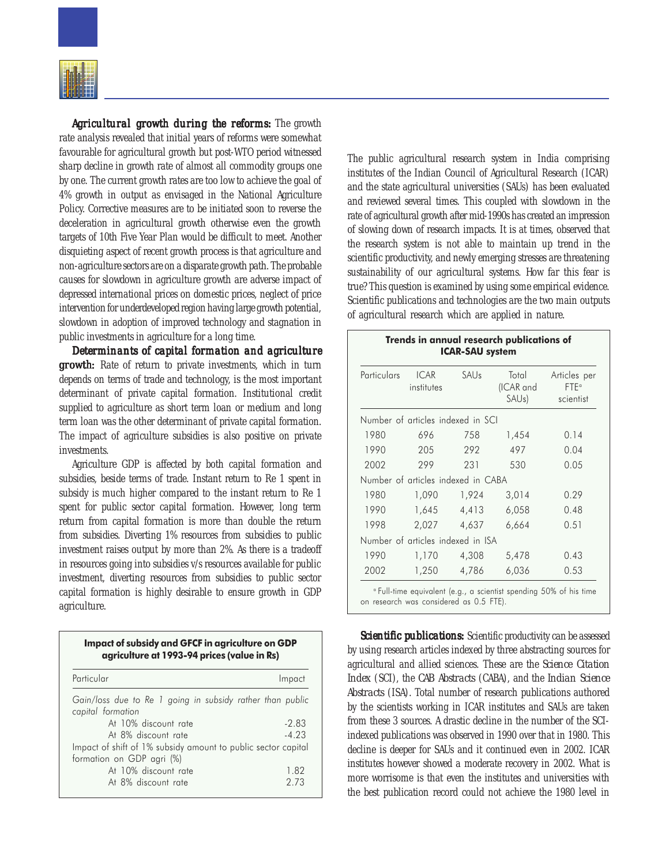

*Agricultural growth during the reforms:* The growth rate analysis revealed that initial years of reforms were somewhat favourable for agricultural growth but post-WTO period witnessed sharp decline in growth rate of almost all commodity groups one by one. The current growth rates are too low to achieve the goal of 4% growth in output as envisaged in the National Agriculture Policy. Corrective measures are to be initiated soon to reverse the deceleration in agricultural growth otherwise even the growth targets of 10th Five Year Plan would be difficult to meet. Another disquieting aspect of recent growth process is that agriculture and non-agriculture sectors are on a disparate growth path. The probable causes for slowdown in agriculture growth are adverse impact of depressed international prices on domestic prices, neglect of price intervention for underdeveloped region having large growth potential, slowdown in adoption of improved technology and stagnation in public investments in agriculture for a long time.

*Determinants of capital formation and agriculture Determinants of formation and growth: growth:* Rate of return to private investments, which in turn depends on terms of trade and technology, is the most important determinant of private capital formation. Institutional credit supplied to agriculture as short term loan or medium and long term loan was the other determinant of private capital formation. The impact of agriculture subsidies is also positive on private investments.

Agriculture GDP is affected by both capital formation and subsidies, beside terms of trade. Instant return to Re 1 spent in subsidy is much higher compared to the instant return to Re 1 spent for public sector capital formation. However, long term return from capital formation is more than double the return from subsidies. Diverting 1% resources from subsidies to public investment raises output by more than 2%. As there is a tradeoff in resources going into subsidies v/s resources available for public investment, diverting resources from subsidies to public sector capital formation is highly desirable to ensure growth in GDP agriculture.

Impact of subsidy and GFCF in agriculture on GDP agriculture at 1993-94 prices (value in Rs)

| Particular                                                                     | Impact  |
|--------------------------------------------------------------------------------|---------|
| Gain/loss due to Re 1 going in subsidy rather than public<br>capital formation |         |
| At 10% discount rate                                                           | $-2.83$ |
| At 8% discount rate                                                            | $-4.23$ |
| Impact of shift of 1% subsidy amount to public sector capital                  |         |
| formation on GDP agri (%)                                                      |         |
| At 10% discount rate                                                           | 1.82    |
| At 8% discount rate                                                            | 2.73    |

The public agricultural research system in India comprising institutes of the Indian Council of Agricultural Research (ICAR) and the state agricultural universities (SAUs) has been evaluated and reviewed several times. This coupled with slowdown in the rate of agricultural growth after mid-1990s has created an impression of slowing down of research impacts. It is at times, observed that the research system is not able to maintain up trend in the scientific productivity, and newly emerging stresses are threatening sustainability of our agricultural systems. How far this fear is true? This question is examined by using some empirical evidence. Scientific publications and technologies are the two main outputs of agricultural research which are applied in nature.

| Particulars | <b>ICAR</b><br>institutes          | SAUs  | Total<br>(ICAR and<br>SAU <sub>s</sub> ) | Articles per<br>FTF <sup>a</sup><br>scientist |
|-------------|------------------------------------|-------|------------------------------------------|-----------------------------------------------|
|             | Number of articles indexed in SCI  |       |                                          |                                               |
| 1980        | 696                                | 758   | 1,454                                    | 0.14                                          |
| 1990        | 205                                | 292   | 497                                      | 0.04                                          |
| 2002        | 299                                | 231   | 530                                      | 0.05                                          |
|             | Number of articles indexed in CABA |       |                                          |                                               |
| 1980        | 1,090                              | 1,924 | 3,014                                    | 0.29                                          |
| 1990        | 1,645                              | 4,413 | 6,058                                    | 0.48                                          |
| 1998        | 2,027                              | 4,637 | 6,664                                    | 0.51                                          |
|             | Number of articles indexed in ISA  |       |                                          |                                               |
| 1990        | 1,170                              | 4,308 | 5,478                                    | 0.43                                          |
| 2002        | 1,250                              | 4,786 | 6,036                                    | 0.53                                          |

<sup>a</sup>Full-time equivalent (e.g., a scientist spending 50% of his time on research was considered as 0.5 FTE).

**Scientific publications:** Scientific productivity can be assessed by using research articles indexed by three abstracting sources for agricultural and allied sciences. These are the *Science Citation Index* (SCI), the *CAB Abstracts* (CABA), and the *Indian Science Abstracts* (ISA). Total number of research publications authored by the scientists working in ICAR institutes and SAUs are taken from these 3 sources. A drastic decline in the number of the SCIindexed publications was observed in 1990 over that in 1980. This decline is deeper for SAUs and it continued even in 2002. ICAR institutes however showed a moderate recovery in 2002. What is more worrisome is that even the institutes and universities with the best publication record could not achieve the 1980 level in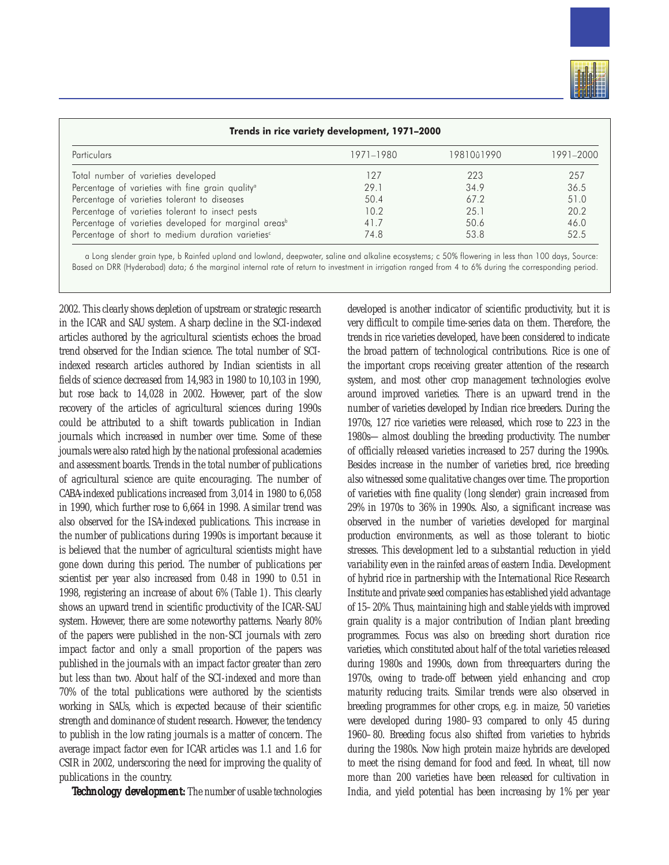

| Trends in rice variety development, 1971-2000                     |           |            |           |  |
|-------------------------------------------------------------------|-----------|------------|-----------|--|
| <b>Particulars</b>                                                | 1971-1980 | 19810û1990 | 1991-2000 |  |
| Total number of varieties developed                               | 127       | 223        | 257       |  |
| Percentage of varieties with fine grain quality <sup>a</sup>      | 29.1      | 34.9       | 36.5      |  |
| Percentage of varieties tolerant to diseases                      | 50.4      | 67.2       | 51.0      |  |
| Percentage of varieties tolerant to insect pests                  | 10.2      | 25.1       | 20.2      |  |
| Percentage of varieties developed for marginal areas <sup>b</sup> | 41.7      | 50.6       | 46.0      |  |
| Percentage of short to medium duration varieties <sup>c</sup>     | 74.8      | 53.8       | 52.5      |  |

a Long slender grain type, b Rainfed upland and lowland, deepwater, saline and alkaline ecosystems; c 50% flowering in less than 100 days, Source: Based on DRR (Hyderabad) data; 6 the marginal internal rate of return to investment in irrigation ranged from 4 to 6% during the corresponding period.

2002. This clearly shows depletion of upstream or strategic research in the ICAR and SAU system. A sharp decline in the SCI-indexed articles authored by the agricultural scientists echoes the broad trend observed for the Indian science. The total number of SCIindexed research articles authored by Indian scientists in all fields of science decreased from 14,983 in 1980 to 10,103 in 1990, but rose back to 14,028 in 2002. However, part of the slow recovery of the articles of agricultural sciences during 1990s could be attributed to a shift towards publication in Indian journals which increased in number over time. Some of these journals were also rated high by the national professional academies and assessment boards. Trends in the total number of publications of agricultural science are quite encouraging. The number of CABA-indexed publications increased from 3,014 in 1980 to 6,058 in 1990, which further rose to 6,664 in 1998. A similar trend was also observed for the ISA-indexed publications. This increase in the number of publications during 1990s is important because it is believed that the number of agricultural scientists might have gone down during this period. The number of publications per scientist per year also increased from 0.48 in 1990 to 0.51 in 1998, registering an increase of about 6% (Table 1). This clearly shows an upward trend in scientific productivity of the ICAR-SAU system. However, there are some noteworthy patterns. Nearly 80% of the papers were published in the non-SCI journals with zero impact factor and only a small proportion of the papers was published in the journals with an impact factor greater than zero but less than two. About half of the SCI-indexed and more than 70% of the total publications were authored by the scientists working in SAUs, which is expected because of their scientific strength and dominance of student research. However, the tendency to publish in the low rating journals is a matter of concern. The average impact factor even for ICAR articles was 1.1 and 1.6 for CSIR in 2002, underscoring the need for improving the quality of publications in the country.

*Technology development:* The number of usable technologies

developed is another indicator of scientific productivity, but it is very difficult to compile time-series data on them. Therefore, the trends in rice varieties developed, have been considered to indicate the broad pattern of technological contributions. Rice is one of the important crops receiving greater attention of the research system, and most other crop management technologies evolve around improved varieties. There is an upward trend in the number of varieties developed by Indian rice breeders. During the 1970s, 127 rice varieties were released, which rose to 223 in the 1980s—almost doubling the breeding productivity. The number of officially released varieties increased to 257 during the 1990s. Besides increase in the number of varieties bred, rice breeding also witnessed some qualitative changes over time. The proportion of varieties with fine quality (long slender) grain increased from 29% in 1970s to 36% in 1990s. Also, a significant increase was observed in the number of varieties developed for marginal production environments, as well as those tolerant to biotic stresses. This development led to a substantial reduction in yield variability even in the rainfed areas of eastern India. Development of hybrid rice in partnership with the International Rice Research Institute and private seed companies has established yield advantage of 15–20%. Thus, maintaining high and stable yields with improved grain quality is a major contribution of Indian plant breeding programmes. Focus was also on breeding short duration rice varieties, which constituted about half of the total varieties released during 1980s and 1990s, down from threequarters during the 1970s, owing to trade-off between yield enhancing and crop maturity reducing traits. Similar trends were also observed in breeding programmes for other crops, e.g. in maize, 50 varieties were developed during 1980–93 compared to only 45 during 1960–80. Breeding focus also shifted from varieties to hybrids during the 1980s. Now high protein maize hybrids are developed to meet the rising demand for food and feed. In wheat, till now more than 200 varieties have been released for cultivation in India, and yield potential has been increasing by 1% per year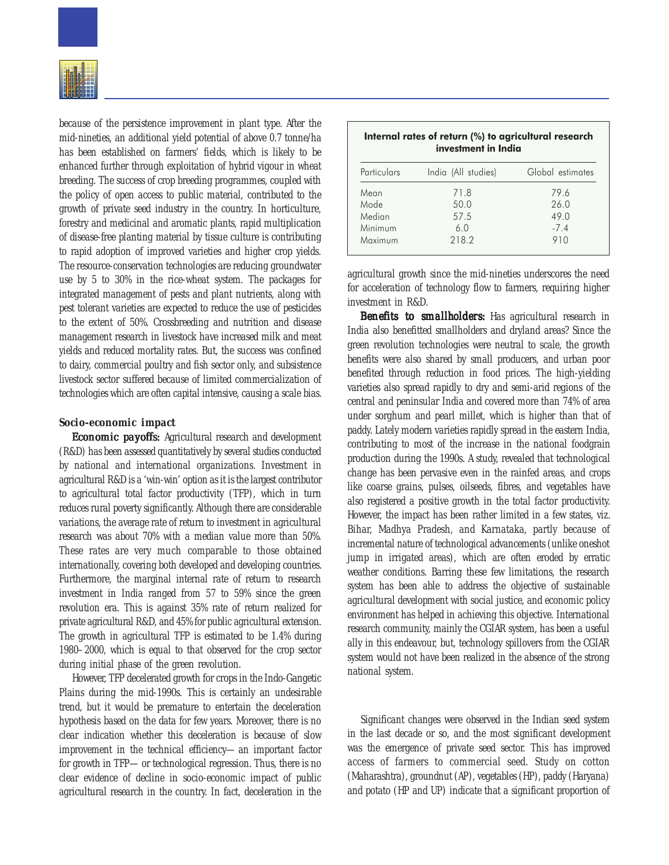

because of the persistence improvement in plant type. After the mid-nineties, an additional yield potential of above 0.7 tonne/ha has been established on farmers' fields, which is likely to be enhanced further through exploitation of hybrid vigour in wheat breeding. The success of crop breeding programmes, coupled with the policy of open access to public material, contributed to the growth of private seed industry in the country. In horticulture, forestry and medicinal and aromatic plants, rapid multiplication of disease-free planting material by tissue culture is contributing to rapid adoption of improved varieties and higher crop yields. The resource-conservation technologies are reducing groundwater use by 5 to 30% in the rice-wheat system. The packages for integrated management of pests and plant nutrients, along with pest tolerant varieties are expected to reduce the use of pesticides to the extent of 50%. Crossbreeding and nutrition and disease management research in livestock have increased milk and meat yields and reduced mortality rates. But, the success was confined to dairy, commercial poultry and fish sector only, and subsistence livestock sector suffered because of limited commercialization of technologies which are often capital intensive, causing a scale bias.

## *Socio-economic impact*

*Economic payoffs: payoffs:* Agricultural research and development (R&D) has been assessed quantitatively by several studies conducted by national and international organizations. Investment in agricultural R&D is a 'win-win' option as it is the largest contributor to agricultural total factor productivity (TFP), which in turn reduces rural poverty significantly. Although there are considerable variations, the average rate of return to investment in agricultural research was about 70% with a median value more than 50%. These rates are very much comparable to those obtained internationally, covering both developed and developing countries. Furthermore, the marginal internal rate of return to research investment in India ranged from 57 to 59% since the green revolution era. This is against 35% rate of return realized for private agricultural R&D, and 45% for public agricultural extension. The growth in agricultural TFP is estimated to be 1.4% during 1980–2000, which is equal to that observed for the crop sector during initial phase of the green revolution.

However, TFP decelerated growth for crops in the Indo-Gangetic Plains during the mid-1990s. This is certainly an undesirable trend, but it would be premature to entertain the deceleration hypothesis based on the data for few years. Moreover, there is no clear indication whether this deceleration is because of slow improvement in the technical efficiency—an important factor for growth in TFP—or technological regression. Thus, there is no clear evidence of decline in socio-economic impact of public agricultural research in the country. In fact, deceleration in the

| Internal rates of return (%) to agricultural research<br>investment in India |                     |                  |  |  |
|------------------------------------------------------------------------------|---------------------|------------------|--|--|
| Particulars                                                                  | India (All studies) | Global estimates |  |  |
| Mean                                                                         | 71.8                | 79.6             |  |  |
| Mode                                                                         | 50.0                | 26.0             |  |  |
| Median                                                                       | 57.5                | 49.0             |  |  |
| Minimum                                                                      | 6.0                 | $-7.4$           |  |  |
| Maximum                                                                      | 218.2               | 910              |  |  |

agricultural growth since the mid-nineties underscores the need for acceleration of technology flow to farmers, requiring higher investment in R&D.

*Benefits to smallholders:* Has agricultural research in India also benefitted smallholders and dryland areas? Since the green revolution technologies were neutral to scale, the growth benefits were also shared by small producers, and urban poor benefited through reduction in food prices. The high-yielding varieties also spread rapidly to dry and semi-arid regions of the central and peninsular India and covered more than 74% of area under sorghum and pearl millet, which is higher than that of paddy. Lately modern varieties rapidly spread in the eastern India, contributing to most of the increase in the national foodgrain production during the 1990s. A study, revealed that technological change has been pervasive even in the rainfed areas, and crops like coarse grains, pulses, oilseeds, fibres, and vegetables have also registered a positive growth in the total factor productivity. However, the impact has been rather limited in a few states, viz. Bihar, Madhya Pradesh, and Karnataka, partly because of incremental nature of technological advancements (unlike oneshot jump in irrigated areas), which are often eroded by erratic weather conditions. Barring these few limitations, the research system has been able to address the objective of sustainable agricultural development with social justice, and economic policy environment has helped in achieving this objective. International research community, mainly the CGIAR system, has been a useful ally in this endeavour, but, technology spillovers from the CGIAR system would not have been realized in the absence of the strong national system.

Significant changes were observed in the Indian seed system in the last decade or so, and the most significant development was the emergence of private seed sector. This has improved access of farmers to commercial seed. Study on cotton (Maharashtra), groundnut (AP), vegetables (HP), paddy (Haryana) and potato (HP and UP) indicate that a significant proportion of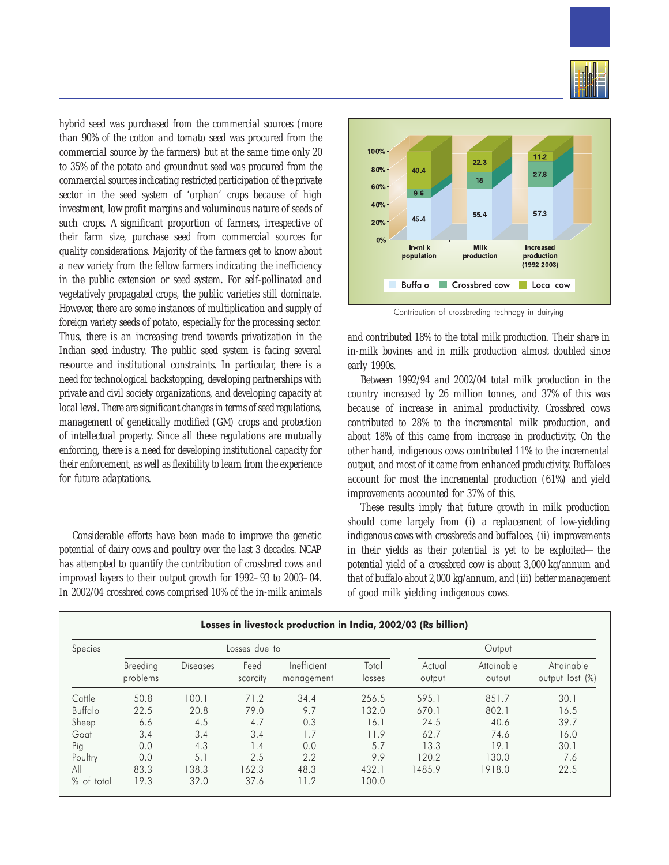

hybrid seed was purchased from the commercial sources (more than 90% of the cotton and tomato seed was procured from the commercial source by the farmers) but at the same time only 20 to 35% of the potato and groundnut seed was procured from the commercial sources indicating restricted participation of the private sector in the seed system of 'orphan' crops because of high investment, low profit margins and voluminous nature of seeds of such crops. A significant proportion of farmers, irrespective of their farm size, purchase seed from commercial sources for quality considerations. Majority of the farmers get to know about a new variety from the fellow farmers indicating the inefficiency in the public extension or seed system. For self-pollinated and vegetatively propagated crops, the public varieties still dominate. However, there are some instances of multiplication and supply of foreign variety seeds of potato, especially for the processing sector. Thus, there is an increasing trend towards privatization in the Indian seed industry. The public seed system is facing several resource and institutional constraints. In particular, there is a need for technological backstopping, developing partnerships with private and civil society organizations, and developing capacity at local level. There are significant changes in terms of seed regulations, management of genetically modified (GM) crops and protection of intellectual property. Since all these regulations are mutually enforcing, there is a need for developing institutional capacity for their enforcement, as well as flexibility to learn from the experience for future adaptations.

Considerable efforts have been made to improve the genetic potential of dairy cows and poultry over the last 3 decades. NCAP has attempted to quantify the contribution of crossbred cows and improved layers to their output growth for 1992–93 to 2003–04. In 2002/04 crossbred cows comprised 10% of the in-milk animals



Contribution of crossbreding technogy in dairying

and contributed 18% to the total milk production. Their share in in-milk bovines and in milk production almost doubled since early 1990s.

Between 1992/94 and 2002/04 total milk production in the country increased by 26 million tonnes, and 37% of this was because of increase in animal productivity. Crossbred cows contributed to 28% to the incremental milk production, and about 18% of this came from increase in productivity. On the other hand, indigenous cows contributed 11% to the incremental output, and most of it came from enhanced productivity. Buffaloes account for most the incremental production (61%) and yield improvements accounted for 37% of this.

These results imply that future growth in milk production should come largely from (i) a replacement of low-yielding indigenous cows with crossbreds and buffaloes, (ii) improvements in their yields as their potential is yet to be exploited—the potential yield of a crossbred cow is about 3,000 kg/annum and that of buffalo about 2,000 kg/annum, and (iii) better management of good milk yielding indigenous cows.

| Species              | Losses due to   |                  |                           |                 | Output           |                      |                               |      |
|----------------------|-----------------|------------------|---------------------------|-----------------|------------------|----------------------|-------------------------------|------|
| Breeding<br>problems | <b>Diseases</b> | Feed<br>scarcity | Inefficient<br>management | Total<br>losses | Actual<br>output | Attainable<br>output | Attainable<br>output lost (%) |      |
| Cattle               | 50.8            | 100.1            | 71.2                      | 34.4            | 256.5            | 595.1                | 851.7                         | 30.1 |
| Buffalo              | 22.5            | 20.8             | 79.0                      | 9.7             | 132.0            | 670.1                | 802.1                         | 16.5 |
| Sheep                | 6.6             | 4.5              | 4.7                       | 0.3             | 16.1             | 24.5                 | 40.6                          | 39.7 |
| Goat                 | 3.4             | 3.4              | 3.4                       | 1.7             | 11.9             | 62.7                 | 74.6                          | 16.0 |
| Pig                  | 0.0             | 4.3              | 1.4                       | 0.0             | 5.7              | 13.3                 | 19.1                          | 30.1 |
| Poultry              | 0.0             | 5.1              | 2.5                       | 2.2             | 9.9              | 120.2                | 130.0                         | 7.6  |
| All                  | 83.3            | 138.3            | 162.3                     | 48.3            | 432.1            | 1485.9               | 1918.0                        | 22.5 |
| % of total           | 19.3            | 32.0             | 37.6                      | 11.2            | 100.0            |                      |                               |      |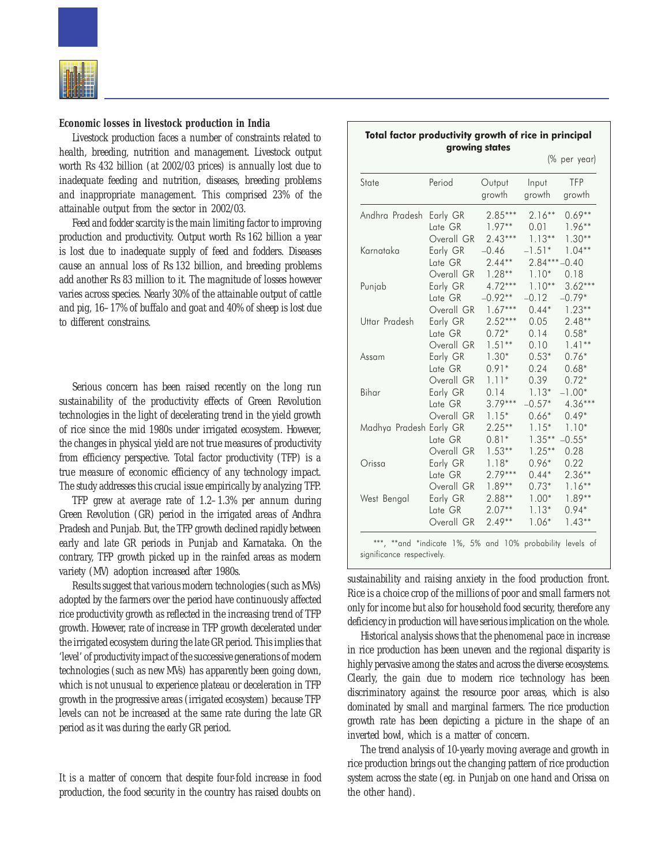

#### **Economic losses in livestock production in India**

Livestock production faces a number of constraints related to health, breeding, nutrition and management. Livestock output worth Rs 432 billion (at 2002/03 prices) is annually lost due to inadequate feeding and nutrition, diseases, breeding problems and inappropriate management. This comprised 23% of the attainable output from the sector in 2002/03.

Feed and fodder scarcity is the main limiting factor to improving production and productivity. Output worth Rs 162 billion a year is lost due to inadequate supply of feed and fodders. Diseases cause an annual loss of Rs 132 billion, and breeding problems add another Rs 83 million to it. The magnitude of losses however varies across species. Nearly 30% of the attainable output of cattle and pig, 16–17% of buffalo and goat and 40% of sheep is lost due to different constrains.

Serious concern has been raised recently on the long run sustainability of the productivity effects of Green Revolution technologies in the light of decelerating trend in the yield growth of rice since the mid 1980s under irrigated ecosystem. However, the changes in physical yield are not true measures of productivity from efficiency perspective. Total factor productivity (TFP) is a true measure of economic efficiency of any technology impact. The study addresses this crucial issue empirically by analyzing TFP.

TFP grew at average rate of 1.2–1.3% per annum during Green Revolution (GR) period in the irrigated areas of Andhra Pradesh and Punjab. But, the TFP growth declined rapidly between early and late GR periods in Punjab and Karnataka. On the contrary, TFP growth picked up in the rainfed areas as modern variety (MV) adoption increased after 1980s.

Results suggest that various modern technologies (such as MVs) adopted by the farmers over the period have continuously affected rice productivity growth as reflected in the increasing trend of TFP growth. However, rate of increase in TFP growth decelerated under the irrigated ecosystem during the late GR period. This implies that 'level' of productivity impact of the successive generations of modern technologies (such as new MVs) has apparently been going down, which is not unusual to experience plateau or deceleration in TFP growth in the progressive areas (irrigated ecosystem) because TFP levels can not be increased at the same rate during the late GR period as it was during the early GR period.

It is a matter of concern that despite four-fold increase in food production, the food security in the country has raised doubts on

|                         |                                   |                                  |                                        | (% per year)                   |
|-------------------------|-----------------------------------|----------------------------------|----------------------------------------|--------------------------------|
| State                   | Period                            | Output<br>growth                 | Input<br>growth                        | <b>TFP</b><br>growth           |
| Andhra Pradesh          | Early GR                          | $2.85***$                        | $2.16**$                               | $0.69**$                       |
|                         | Late GR                           | $1.97**$                         | 0.01                                   | $1.96**$                       |
| Karnataka               | Overall GR<br>Early GR<br>Late GR | $2.43***$<br>$-0.46$<br>$2.44**$ | $1.13**$<br>$-1.51*$<br>$2.84***-0.40$ | $1.30**$<br>$1.04**$           |
| Punjab                  | Overall GR                        | $1.28**$                         | $1.10*$                                | 0.18                           |
|                         | Early GR                          | $4.72***$                        | $1.10**$                               | $3.62***$                      |
|                         | Late GR                           | $-0.92**$                        | $-0.12$                                | $-0.79*$                       |
| Uttar Pradesh           | Overall GR                        | $1.67***$                        | $0.44*$                                | $1.23**$                       |
|                         | Early GR                          | $2.52***$                        | 0.05                                   | $2.48**$                       |
|                         | Late GR                           | $0.72*$                          | 0.14                                   | $0.58*$                        |
| Assam                   | Overall GR                        | $1.51**$                         | 0.10                                   | $1.41**$                       |
|                         | Early GR                          | $1.30*$                          | $0.53*$                                | $0.76*$                        |
|                         | Late GR                           | $0.91*$                          | 0.24                                   | $0.68*$                        |
| Bihar                   | Overall GR                        | $1.11*$                          | 0.39                                   | $0.72*$                        |
|                         | Early GR                          | 0.14                             | $1.13*$                                | $-1.00*$                       |
|                         | Late GR                           | $3.79***$                        | $-0.57*$                               | $4.36***$                      |
| Madhya Pradesh Early GR | Overall GR<br>Late GR             | $1.15*$<br>$2.25**$<br>$0.81*$   | $0.66*$<br>$1.15*$<br>$1.35***$        | $0.49*$<br>$1.10*$<br>$-0.55*$ |
| Orissa                  | Overall GR                        | $1.53**$                         | $1.25**$                               | 0.28                           |
|                         | Early GR                          | $1.18*$                          | $0.96*$                                | 0.22                           |
| West Bengal             | Late GR                           | $2.79***$                        | $0.44*$                                | $2.36**$                       |
|                         | Overall GR                        | $1.89**$                         | $0.73*$                                | $1.16**$                       |
|                         | Early GR                          | $2.88**$                         | $1.00*$                                | 1.89**                         |
|                         | Late GR                           | $2.07**$                         | $1.13*$                                | $0.94*$                        |
|                         | Overall GR                        | $2.49**$                         | $1.06*$                                | $1.43**$                       |

\*\*\*, \*\*and \*indicate 1%, 5% and 10% probability levels of significance respectively.

sustainability and raising anxiety in the food production front. Rice is a choice crop of the millions of poor and small farmers not only for income but also for household food security, therefore any deficiency in production will have serious implication on the whole.

Historical analysis shows that the phenomenal pace in increase in rice production has been uneven and the regional disparity is highly pervasive among the states and across the diverse ecosystems. Clearly, the gain due to modern rice technology has been discriminatory against the resource poor areas, which is also dominated by small and marginal farmers. The rice production growth rate has been depicting a picture in the shape of an inverted bowl, which is a matter of concern.

The trend analysis of 10-yearly moving average and growth in rice production brings out the changing pattern of rice production system across the state (eg. in Punjab on one hand and Orissa on the other hand).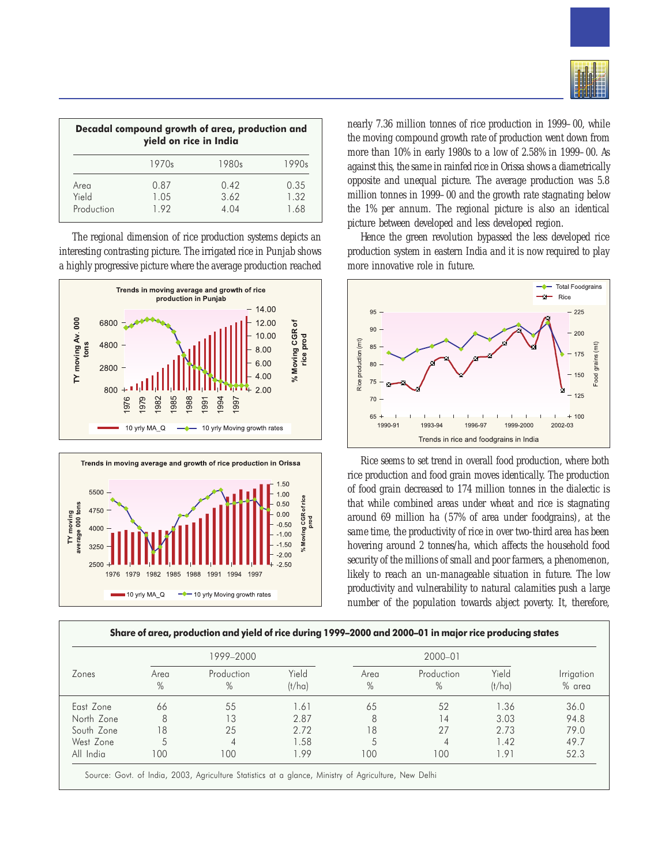| Decadal compound growth of area, production and<br>yield on rice in India |              |               |              |  |  |  |
|---------------------------------------------------------------------------|--------------|---------------|--------------|--|--|--|
|                                                                           | 1970s        | 1980s         | 1990s        |  |  |  |
| Area                                                                      | 0.87         | 0.42          | 0.35         |  |  |  |
| Yield<br>Production                                                       | 1.05<br>1.92 | 3.62<br>4 0 4 | 1.32<br>1.68 |  |  |  |

The regional dimension of rice production systems depicts an interesting contrasting picture. The irrigated rice in Punjab shows a highly progressive picture where the average production reached





nearly 7.36 million tonnes of rice production in 1999–00, while the moving compound growth rate of production went down from more than 10% in early 1980s to a low of 2.58% in 1999–00. As against this, the same in rainfed rice in Orissa shows a diametrically opposite and unequal picture. The average production was 5.8 million tonnes in 1999–00 and the growth rate stagnating below the 1% per annum. The regional picture is also an identical picture between developed and less developed region.

Hence the green revolution bypassed the less developed rice production system in eastern India and it is now required to play more innovative role in future.



Rice seems to set trend in overall food production, where both rice production and food grain moves identically. The production of food grain decreased to 174 million tonnes in the dialectic is that while combined areas under wheat and rice is stagnating around 69 million ha (57% of area under foodgrains), at the same time, the productivity of rice in over two-third area has been hovering around 2 tonnes/ha, which affects the household food security of the millions of small and poor farmers, a phenomenon, likely to reach an un-manageable situation in future. The low productivity and vulnerability to natural calamities push a large number of the population towards abject poverty. It, therefore,

| Zones<br>Area<br>$\%$ | 1999-2000 |     |                             | $2000 - 01$     |              |                    |                 |
|-----------------------|-----------|-----|-----------------------------|-----------------|--------------|--------------------|-----------------|
|                       |           |     | Production<br>$\frac{0}{0}$ | Yield<br>(t/ha) | Area<br>$\%$ | Production<br>$\%$ | Yield<br>(t/ha) |
| East Zone             | 66        | 55  | 1.61                        | 65              | 52           | 1.36               | 36.0            |
| North Zone            | 8         | 13  | 2.87                        | 8               | 14           | 3.03               | 94.8            |
| South Zone            | 18        | 25  | 2.72                        | 18              | 27           | 2.73               | 79.0            |
| West Zone             | 5         | 4   | 1.58                        |                 | 4            | 1.42               | 49.7            |
| All India             | 100       | 100 | 1.99                        | 100             | 100          | 1.91               | 52.3            |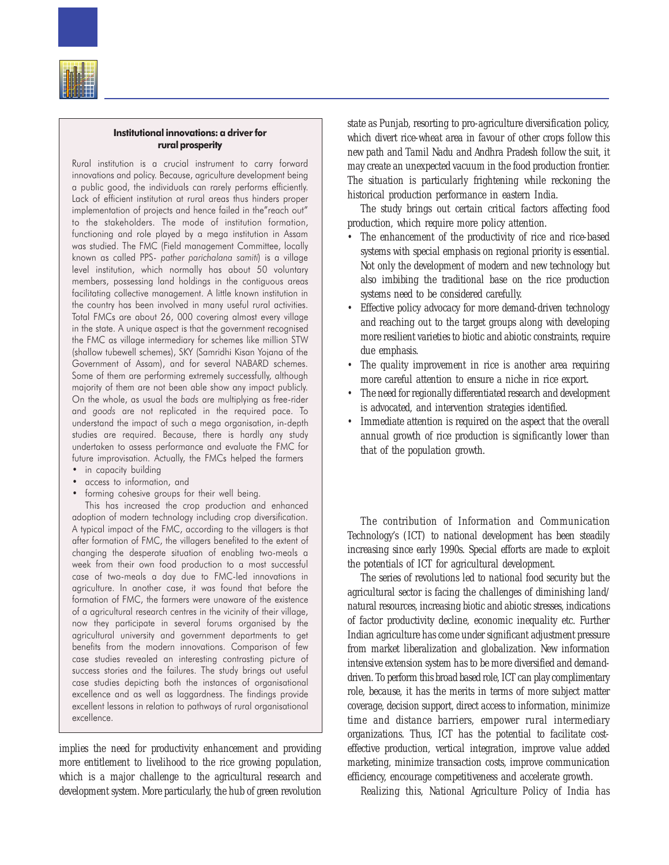

#### Institutional innovations: a driver for rural prosperity

Rural institution is a crucial instrument to carry forward innovations and policy. Because, agriculture development being a public good, the individuals can rarely performs efficiently. Lack of efficient institution at rural areas thus hinders proper implementation of projects and hence failed in the"reach out" to the stakeholders. The mode of institution formation, functioning and role played by a mega institution in Assam was studied. The FMC (Field management Committee, locally known as called PPS- pather parichalana samiti) is a village level institution, which normally has about 50 voluntary members, possessing land holdings in the contiguous areas facilitating collective management. A little known institution in the country has been involved in many useful rural activities. Total FMCs are about 26, 000 covering almost every village in the state. A unique aspect is that the government recognised the FMC as village intermediary for schemes like million STW (shallow tubewell schemes), SKY (Samridhi Kisan Yojana of the Government of Assam), and for several NABARD schemes. Some of them are performing extremely successfully, although majority of them are not been able show any impact publicly. On the whole, as usual the bads are multiplying as free-rider and goods are not replicated in the required pace. To understand the impact of such a mega organisation, in-depth studies are required. Because, there is hardly any study undertaken to assess performance and evaluate the FMC for future improvisation. Actually, the FMCs helped the farmers • in capacity building

- access to information, and
- forming cohesive groups for their well being.

This has increased the crop production and enhanced adoption of modern technology including crop diversification. A typical impact of the FMC, according to the villagers is that after formation of FMC, the villagers benefited to the extent of changing the desperate situation of enabling two-meals a week from their own food production to a most successful case of two-meals a day due to FMC-led innovations in agriculture. In another case, it was found that before the formation of FMC, the farmers were unaware of the existence of a agricultural research centres in the vicinity of their village, now they participate in several forums organised by the agricultural university and government departments to get benefits from the modern innovations. Comparison of few case studies revealed an interesting contrasting picture of success stories and the failures. The study brings out useful case studies depicting both the instances of organisational excellence and as well as laggardness. The findings provide excellent lessons in relation to pathways of rural organisational excellence.

implies the need for productivity enhancement and providing more entitlement to livelihood to the rice growing population, which is a major challenge to the agricultural research and development system. More particularly, the hub of green revolution

state as Punjab, resorting to pro-agriculture diversification policy, which divert rice-wheat area in favour of other crops follow this new path and Tamil Nadu and Andhra Pradesh follow the suit, it may create an unexpected vacuum in the food production frontier. The situation is particularly frightening while reckoning the historical production performance in eastern India.

The study brings out certain critical factors affecting food production, which require more policy attention.

- The enhancement of the productivity of rice and rice-based systems with special emphasis on regional priority is essential. Not only the development of modern and new technology but also imbibing the traditional base on the rice production systems need to be considered carefully.
- Effective policy advocacy for more demand-driven technology and reaching out to the target groups along with developing more resilient varieties to biotic and abiotic constraints, require due emphasis.
- The quality improvement in rice is another area requiring more careful attention to ensure a niche in rice export.
- The need for regionally differentiated research and development is advocated, and intervention strategies identified.
- Immediate attention is required on the aspect that the overall annual growth of rice production is significantly lower than that of the population growth.

The contribution of Information and Communication Technology's (ICT) to national development has been steadily increasing since early 1990s. Special efforts are made to exploit the potentials of ICT for agricultural development.

The series of revolutions led to national food security but the agricultural sector is facing the challenges of diminishing land/ natural resources, increasing biotic and abiotic stresses, indications of factor productivity decline, economic inequality etc. Further Indian agriculture has come under significant adjustment pressure from market liberalization and globalization. New information intensive extension system has to be more diversified and demanddriven. To perform this broad based role, ICT can play complimentary role, because, it has the merits in terms of more subject matter coverage, decision support, direct access to information, minimize time and distance barriers, empower rural intermediary organizations. Thus, ICT has the potential to facilitate costeffective production, vertical integration, improve value added marketing, minimize transaction costs, improve communication efficiency, encourage competitiveness and accelerate growth.

Realizing this, National Agriculture Policy of India has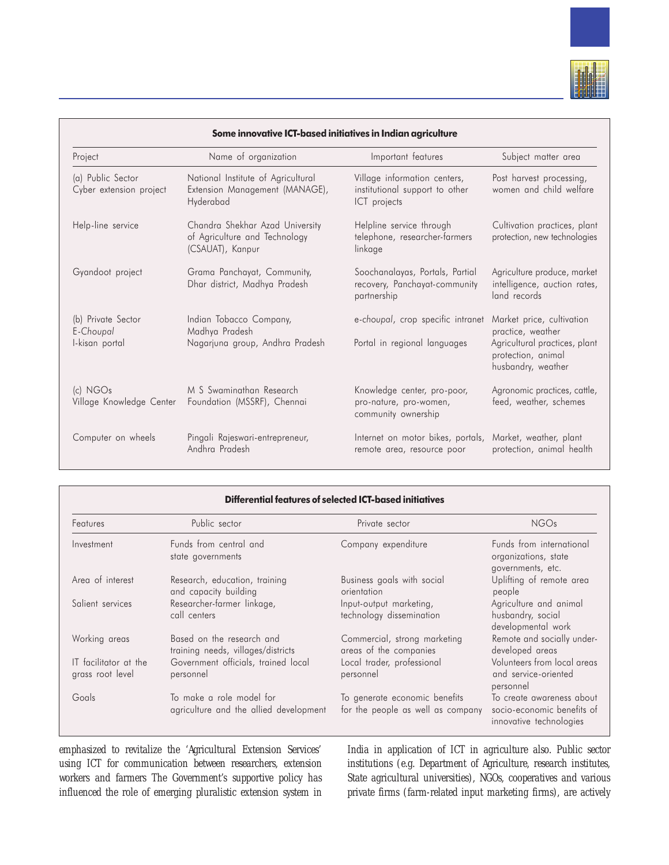

|                                                   | Some innovative ICT-based initiatives in Indian agriculture                          |                                                                                 |                                                                                                                             |
|---------------------------------------------------|--------------------------------------------------------------------------------------|---------------------------------------------------------------------------------|-----------------------------------------------------------------------------------------------------------------------------|
| Project                                           | Name of organization                                                                 | Important features                                                              | Subject matter area                                                                                                         |
| (a) Public Sector<br>Cyber extension project      | National Institute of Agricultural<br>Extension Management (MANAGE),<br>Hyderabad    | Village information centers,<br>institutional support to other<br>ICT projects  | Post harvest processing,<br>women and child welfare                                                                         |
| Help-line service                                 | Chandra Shekhar Azad University<br>of Agriculture and Technology<br>(CSAUAT), Kanpur | Helpline service through<br>telephone, researcher-farmers<br>linkage            | Cultivation practices, plant<br>protection, new technologies                                                                |
| Gyandoot project                                  | Grama Panchayat, Community,<br>Dhar district, Madhya Pradesh                         | Soochanalayas, Portals, Partial<br>recovery, Panchayat-community<br>partnership | Agriculture produce, market<br>intelligence, auction rates,<br>land records                                                 |
| (b) Private Sector<br>E-Choupal<br>I-kisan portal | Indian Tobacco Company,<br>Madhya Pradesh<br>Nagarjuna group, Andhra Pradesh         | e-choupal, crop specific intranet<br>Portal in regional languages               | Market price, cultivation<br>practice, weather<br>Agricultural practices, plant<br>protection, animal<br>husbandry, weather |
| $(c)$ NGOs<br>Village Knowledge Center            | M S Swaminathan Research<br>Foundation (MSSRF), Chennai                              | Knowledge center, pro-poor,<br>pro-nature, pro-women,<br>community ownership    | Agronomic practices, cattle,<br>feed, weather, schemes                                                                      |
| Computer on wheels                                | Pingali Rajeswari-entrepreneur,<br>Andhra Pradesh                                    | Internet on motor bikes, portals,<br>remote area, resource poor                 | Market, weather, plant<br>protection, animal health                                                                         |

|                                           | <b>Differential features of selected ICT-based initiatives</b>     |                                                                    |                                                                                    |  |  |
|-------------------------------------------|--------------------------------------------------------------------|--------------------------------------------------------------------|------------------------------------------------------------------------------------|--|--|
| <b>Features</b>                           | Public sector                                                      | Private sector                                                     | <b>NGOs</b>                                                                        |  |  |
| Investment                                | Funds from central and<br>state governments                        | Company expenditure                                                | Funds from international<br>organizations, state<br>governments, etc.              |  |  |
| Area of interest                          | Research, education, training<br>and capacity building             | Business goals with social<br>orientation                          | Uplifting of remote area<br>people                                                 |  |  |
| Salient services                          | Researcher-farmer linkage,<br>call centers                         | Input-output marketing,<br>technology dissemination                | Agriculture and animal<br>husbandry, social<br>developmental work                  |  |  |
| Working areas                             | Based on the research and<br>training needs, villages/districts    | Commercial, strong marketing<br>areas of the companies             | Remote and socially under-<br>developed areas                                      |  |  |
| IT facilitator at the<br>grass root level | Government officials, trained local<br>personnel                   | Local trader, professional<br>personnel                            | Volunteers from local areas<br>and service-oriented<br>personnel                   |  |  |
| Goals                                     | To make a role model for<br>agriculture and the allied development | To generate economic benefits<br>for the people as well as company | To create awareness about<br>socio-economic benefits of<br>innovative technologies |  |  |

emphasized to revitalize the 'Agricultural Extension Services' using ICT for communication between researchers, extension workers and farmers The Government's supportive policy has influenced the role of emerging pluralistic extension system in India in application of ICT in agriculture also. Public sector institutions (e.g. Department of Agriculture, research institutes, State agricultural universities), NGOs, cooperatives and various private firms (farm-related input marketing firms), are actively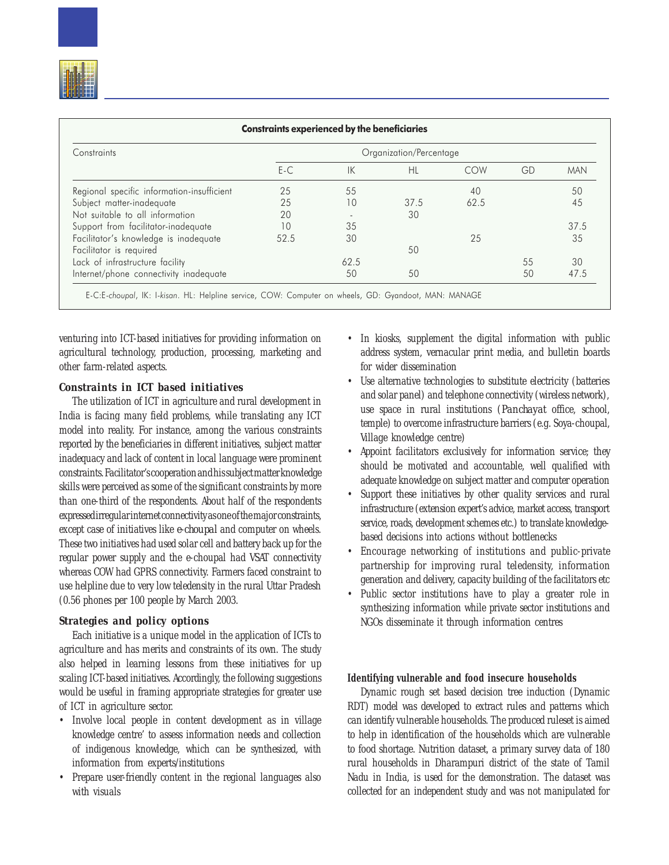| Constraints                                |       |      | Organization/Percentage |      |    |            |
|--------------------------------------------|-------|------|-------------------------|------|----|------------|
|                                            | $E-C$ | IK   | HL                      | COW  | GD | <b>MAN</b> |
| Regional specific information-insufficient | 25    | 55   |                         | 40   |    | 50         |
| Subject matter-inadequate                  | 25    | 10   | 37.5                    | 62.5 |    | 45         |
| Not suitable to all information            | 20    |      | 30                      |      |    |            |
| Support from facilitator-inadequate        | 10    | 35   |                         |      |    | 37.5       |
| Facilitator's knowledge is inadequate      | 52.5  | 30   |                         | 25   |    | 35         |
| Facilitator is required                    |       |      | 50                      |      |    |            |
| Lack of infrastructure facility            |       | 62.5 |                         |      | 55 | 30         |
| Internet/phone connectivity inadequate     |       | 50   | 50                      |      | 50 | 47.5       |

venturing into ICT-based initiatives for providing information on agricultural technology, production, processing, marketing and other farm-related aspects.

# *Constraints in ICT based initiatives*

The utilization of ICT in agriculture and rural development in India is facing many field problems, while translating any ICT model into reality. For instance, among the various constraints reported by the beneficiaries in different initiatives, subject matter inadequacy and lack of content in local language were prominent constraints. Facilitator's cooperation and his subject matter knowledge skills were perceived as some of the significant constraints by more than one-third of the respondents. About half of the respondents expressed irregular internet connectivity as one of the major constraints, except case of initiatives like *e-choupal* and computer on wheels. These two initiatives had used solar cell and battery back up for the regular power supply and the e-choupal had VSAT connectivity whereas COW had GPRS connectivity. Farmers faced constraint to use helpline due to very low teledensity in the rural Uttar Pradesh (0.56 phones per 100 people by March 2003.

# *Strategies and policy options*

Each initiative is a unique model in the application of ICTs to agriculture and has merits and constraints of its own. The study also helped in learning lessons from these initiatives for up scaling ICT-based initiatives. Accordingly, the following suggestions would be useful in framing appropriate strategies for greater use of ICT in agriculture sector.

- Involve local people in content development as in village knowledge centre' to assess information needs and collection of indigenous knowledge, which can be synthesized, with information from experts/institutions
- Prepare user-friendly content in the regional languages also with visuals
- In kiosks, supplement the digital information with public address system, vernacular print media, and bulletin boards for wider dissemination
- Use alternative technologies to substitute electricity (batteries and solar panel) and telephone connectivity (wireless network), use space in rural institutions (*Panchayat* office, school, temple) to overcome infrastructure barriers (e.g. Soya-choupal, Village knowledge centre)
- Appoint facilitators exclusively for information service; they should be motivated and accountable, well qualified with adequate knowledge on subject matter and computer operation
- Support these initiatives by other quality services and rural infrastructure (extension expert's advice, market access, transport service, roads, development schemes etc.) to translate knowledgebased decisions into actions without bottlenecks
- Encourage networking of institutions and public-private partnership for improving rural teledensity, information generation and delivery, capacity building of the facilitators etc
- Public sector institutions have to play a greater role in synthesizing information while private sector institutions and NGOs disseminate it through information centres

# **Identifying vulnerable and food insecure households**

Dynamic rough set based decision tree induction (Dynamic RDT) model was developed to extract rules and patterns which can identify vulnerable households. The produced ruleset is aimed to help in identification of the households which are vulnerable to food shortage. Nutrition dataset, a primary survey data of 180 rural households in Dharampuri district of the state of Tamil Nadu in India, is used for the demonstration. The dataset was collected for an independent study and was not manipulated for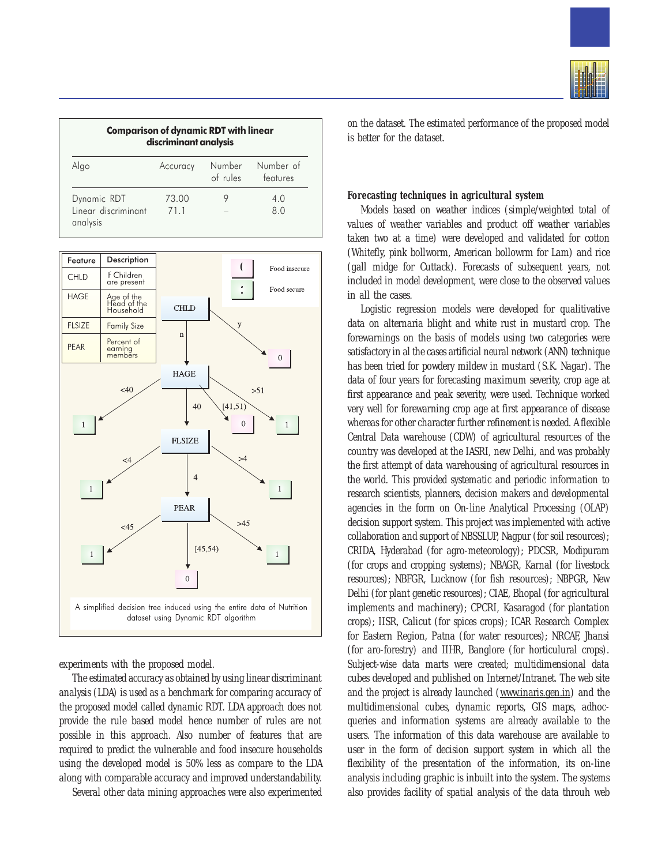| <b>Comparison of dynamic RDT with linear</b><br>discriminant analysis |               |                    |                       |
|-----------------------------------------------------------------------|---------------|--------------------|-----------------------|
| Algo                                                                  | Accuracy      | Number<br>of rules | Number of<br>features |
| Dynamic RDT<br>Linear discriminant<br>analysis                        | 73.00<br>71.1 |                    | 4 O<br>80             |



experiments with the proposed model.

The estimated accuracy as obtained by using linear discriminant analysis (LDA) is used as a benchmark for comparing accuracy of the proposed model called dynamic RDT. LDA approach does not provide the rule based model hence number of rules are not possible in this approach. Also number of features that are required to predict the vulnerable and food insecure households using the developed model is 50% less as compare to the LDA along with comparable accuracy and improved understandability.

Several other data mining approaches were also experimented



on the dataset. The estimated performance of the proposed model is better for the dataset.

#### **Forecasting techniques in agricultural system**

Models based on weather indices (simple/weighted total of values of weather variables and product off weather variables taken two at a time) were developed and validated for cotton (Whitefly, pink bollworm, American bollowrm for Lam) and rice (gall midge for Cuttack). Forecasts of subsequent years, not included in model development, were close to the observed values in all the cases.

Logistic regression models were developed for qualitivative data on alternaria blight and white rust in mustard crop. The forewarnings on the basis of models using two categories were satisfactory in al the cases artificial neural network (ANN) technique has been tried for powdery mildew in mustard (S.K. Nagar). The data of four years for forecasting maximum severity, crop age at first appearance and peak severity, were used. Technique worked very well for forewarning crop age at first appearance of disease whereas for other character further refinement is needed. A flexible Central Data warehouse (CDW) of agricultural resources of the country was developed at the IASRI, new Delhi, and was probably the first attempt of data warehousing of agricultural resources in the world. This provided systematic and periodic information to research scientists, planners, decision makers and developmental agencies in the form on On-line Analytical Processing (OLAP) decision support system. This project was implemented with active collaboration and support of NBSSLUP, Nagpur (for soil resources); CRIDA, Hyderabad (for agro-meteorology); PDCSR, Modipuram (for crops and cropping systems); NBAGR, Karnal (for livestock resources); NBFGR, Lucknow (for fish resources); NBPGR, New Delhi (for plant genetic resources); CIAE, Bhopal (for agricultural implements and machinery); CPCRI, Kasaragod (for plantation crops); IISR, Calicut (for spices crops); ICAR Research Complex for Eastern Region, Patna (for water resources); NRCAF, Jhansi (for aro-forestry) and IIHR, Banglore (for horticulural crops). Subject-wise data marts were created; multidimensional data cubes developed and published on Internet/Intranet. The web site and the project is already launched (www.inaris.gen.in) and the multidimensional cubes, dynamic reports, GIS maps, adhocqueries and information systems are already available to the users. The information of this data warehouse are available to user in the form of decision support system in which all the flexibility of the presentation of the information, its on-line analysis including graphic is inbuilt into the system. The systems also provides facility of spatial analysis of the data throuh web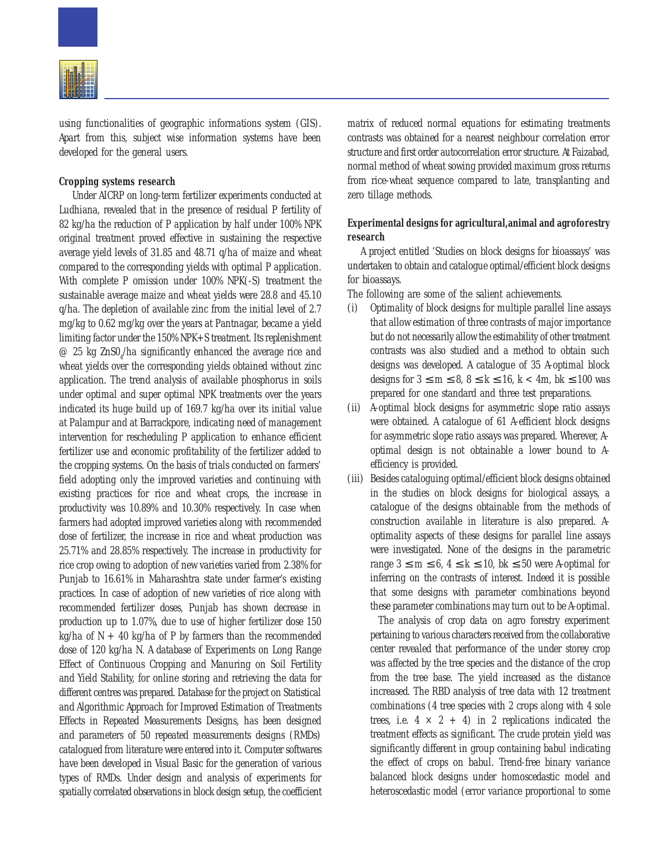

using functionalities of geographic informations system (GIS). Apart from this, subject wise information systems have been developed for the general users.

## **Cropping systems research**

Under AICRP on long-term fertilizer experiments conducted at Ludhiana, revealed that in the presence of residual P fertility of 82 kg/ha the reduction of P application by half under 100% NPK original treatment proved effective in sustaining the respective average yield levels of 31.85 and 48.71 q/ha of maize and wheat compared to the corresponding yields with optimal P application. With complete P omission under 100% NPK(-S) treatment the sustainable average maize and wheat yields were 28.8 and 45.10 q/ha. The depletion of available zinc from the initial level of 2.7 mg/kg to 0.62 mg/kg over the years at Pantnagar, became a yield limiting factor under the 150% NPK+S treatment. Its replenishment  $\varnothing$  25 kg ZnSO<sub>4</sub>/ha significantly enhanced the average rice and wheat yields over the corresponding yields obtained without zinc application. The trend analysis of available phosphorus in soils under optimal and super optimal NPK treatments over the years indicated its huge build up of 169.7 kg/ha over its initial value at Palampur and at Barrackpore, indicating need of management intervention for rescheduling P application to enhance efficient fertilizer use and economic profitability of the fertilizer added to the cropping systems. On the basis of trials conducted on farmers' field adopting only the improved varieties and continuing with existing practices for rice and wheat crops, the increase in productivity was 10.89% and 10.30% respectively. In case when farmers had adopted improved varieties along with recommended dose of fertilizer, the increase in rice and wheat production was 25.71% and 28.85% respectively. The increase in productivity for rice crop owing to adoption of new varieties varied from 2.38% for Punjab to 16.61% in Maharashtra state under farmer's existing practices. In case of adoption of new varieties of rice along with recommended fertilizer doses, Punjab has shown decrease in production up to 1.07%, due to use of higher fertilizer dose 150 kg/ha of  $N + 40$  kg/ha of P by farmers than the recommended dose of 120 kg/ha N. A database of Experiments on Long Range Effect of Continuous Cropping and Manuring on Soil Fertility and Yield Stability, for online storing and retrieving the data for different centres was prepared. Database for the project on Statistical and Algorithmic Approach for Improved Estimation of Treatments Effects in Repeated Measurements Designs, has been designed and parameters of 50 repeated measurements designs (RMDs) catalogued from literature were entered into it. Computer softwares have been developed in Visual Basic for the generation of various types of RMDs. Under design and analysis of experiments for spatially correlated observations in block design setup, the coefficient

matrix of reduced normal equations for estimating treatments contrasts was obtained for a nearest neighbour correlation error structure and first order autocorrelation error structure. At Faizabad, normal method of wheat sowing provided maximum gross returns from rice-wheat sequence compared to late, transplanting and zero tillage methods.

# **Experimental designs for agricultural,animal and agroforestry research**

A project entitled 'Studies on block designs for bioassays' was undertaken to obtain and catalogue optimal/efficient block designs for bioassays.

The following are some of the salient achievements.

- (i) Optimality of block designs for multiple parallel line assays that allow estimation of three contrasts of major importance but do not necessarily allow the estimability of other treatment contrasts was also studied and a method to obtain such designs was developed. A catalogue of 35 A-optimal block designs for  $3 \le m \le 8$ ,  $8 \le k \le 16$ ,  $k < 4m$ ,  $bk \le 100$  was prepared for one standard and three test preparations.
- (ii) A-optimal block designs for asymmetric slope ratio assays were obtained. A catalogue of 61 A-efficient block designs for asymmetric slope ratio assays was prepared. Wherever, Aoptimal design is not obtainable a lower bound to Aefficiency is provided.
- (iii) Besides cataloguing optimal/efficient block designs obtained in the studies on block designs for biological assays, a catalogue of the designs obtainable from the methods of construction available in literature is also prepared. Aoptimality aspects of these designs for parallel line assays were investigated. None of the designs in the parametric range  $3 \le m \le 6$ ,  $4 \le k \le 10$ , bk  $\le 50$  were A-optimal for inferring on the contrasts of interest. Indeed it is possible that some designs with parameter combinations beyond these parameter combinations may turn out to be A-optimal.

The analysis of crop data on agro forestry experiment pertaining to various characters received from the collaborative center revealed that performance of the under storey crop was affected by the tree species and the distance of the crop from the tree base. The yield increased as the distance increased. The RBD analysis of tree data with 12 treatment combinations (4 tree species with 2 crops along with 4 sole trees, i.e.  $4 \times 2 + 4$ ) in 2 replications indicated the treatment effects as significant. The crude protein yield was significantly different in group containing babul indicating the effect of crops on babul. Trend-free binary variance balanced block designs under homoscedastic model and heteroscedastic model (error variance proportional to some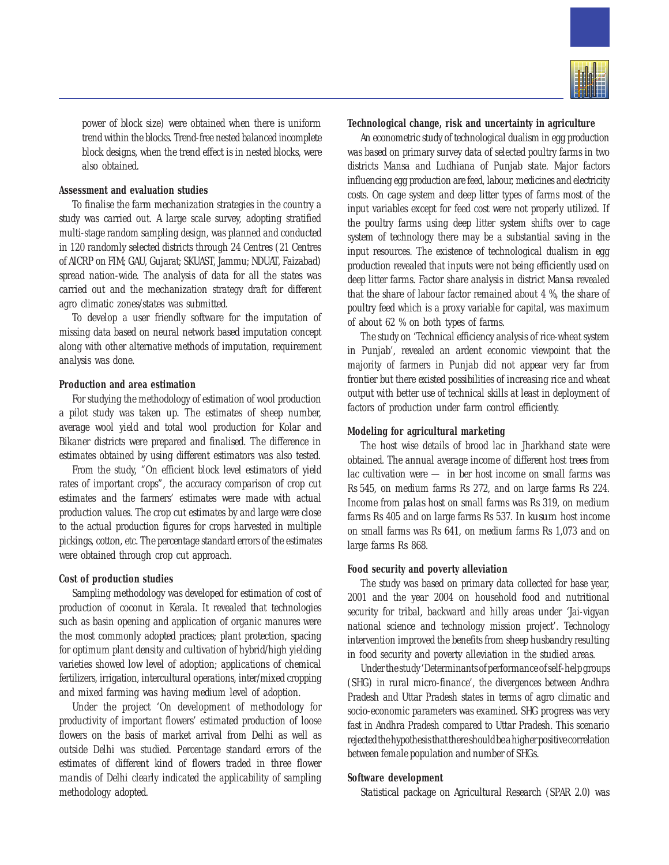

power of block size) were obtained when there is uniform trend within the blocks. Trend-free nested balanced incomplete block designs, when the trend effect is in nested blocks, were also obtained.

## **Assessment and evaluation studies**

To finalise the farm mechanization strategies in the country a study was carried out. A large scale survey, adopting stratified multi-stage random sampling design, was planned and conducted in 120 randomly selected districts through 24 Centres (21 Centres of AICRP on FIM; GAU, Gujarat; SKUAST, Jammu; NDUAT, Faizabad) spread nation-wide. The analysis of data for all the states was carried out and the mechanization strategy draft for different agro climatic zones/states was submitted.

To develop a user friendly software for the imputation of missing data based on neural network based imputation concept along with other alternative methods of imputation, requirement analysis was done.

# **Production and area estimation**

For studying the methodology of estimation of wool production a pilot study was taken up. The estimates of sheep number, average wool yield and total wool production for Kolar and Bikaner districts were prepared and finalised. The difference in estimates obtained by using different estimators was also tested.

From the study, "On efficient block level estimators of yield rates of important crops", the accuracy comparison of crop cut estimates and the farmers' estimates were made with actual production values. The crop cut estimates by and large were close to the actual production figures for crops harvested in multiple pickings, cotton, etc. The percentage standard errors of the estimates were obtained through crop cut approach.

#### **Cost of production studies**

Sampling methodology was developed for estimation of cost of production of coconut in Kerala. It revealed that technologies such as basin opening and application of organic manures were the most commonly adopted practices; plant protection, spacing for optimum plant density and cultivation of hybrid/high yielding varieties showed low level of adoption; applications of chemical fertilizers, irrigation, intercultural operations, inter/mixed cropping and mixed farming was having medium level of adoption.

Under the project 'On development of methodology for productivity of important flowers' estimated production of loose flowers on the basis of market arrival from Delhi as well as outside Delhi was studied. Percentage standard errors of the estimates of different kind of flowers traded in three flower *mandis* of Delhi clearly indicated the applicability of sampling methodology adopted.

#### **Technological change, risk and uncertainty in agriculture**

An econometric study of technological dualism in egg production was based on primary survey data of selected poultry farms in two districts Mansa and Ludhiana of Punjab state. Major factors influencing egg production are feed, labour, medicines and electricity costs. On cage system and deep litter types of farms most of the input variables except for feed cost were not properly utilized. If the poultry farms using deep litter system shifts over to cage system of technology there may be a substantial saving in the input resources. The existence of technological dualism in egg production revealed that inputs were not being efficiently used on deep litter farms. Factor share analysis in district Mansa revealed that the share of labour factor remained about 4 %, the share of poultry feed which is a proxy variable for capital, was maximum of about 62 % on both types of farms.

The study on 'Technical efficiency analysis of rice-wheat system in Punjab', revealed an ardent economic viewpoint that the majority of farmers in Punjab did not appear very far from frontier but there existed possibilities of increasing rice and wheat output with better use of technical skills at least in deployment of factors of production under farm control efficiently.

# **Modeling for agricultural marketing**

The host wise details of brood lac in Jharkhand state were obtained. The annual average income of different host trees from lac cultivation were — in ber host income on small farms was Rs 545, on medium farms Rs 272, and on large farms Rs 224. Income from *palas* host on small farms was Rs 319, on medium farms Rs 405 and on large farms Rs 537. In *kusum* host income on small farms was Rs 641, on medium farms Rs 1,073 and on large farms Rs 868.

#### **Food security and poverty alleviation**

The study was based on primary data collected for base year, 2001 and the year 2004 on household food and nutritional security for tribal, backward and hilly areas under 'Jai-vigyan national science and technology mission project'. Technology intervention improved the benefits from sheep husbandry resulting in food security and poverty alleviation in the studied areas.

Under the study 'Determinants of performance of self-help groups (SHG) in rural micro-finance', the divergences between Andhra Pradesh and Uttar Pradesh states in terms of agro climatic and socio-economic parameters was examined. SHG progress was very fast in Andhra Pradesh compared to Uttar Pradesh. This scenario rejected the hypothesis that there should be a higher positive correlation between female population and number of SHGs.

#### **Software development**

Statistical package on Agricultural Research (SPAR 2.0) was